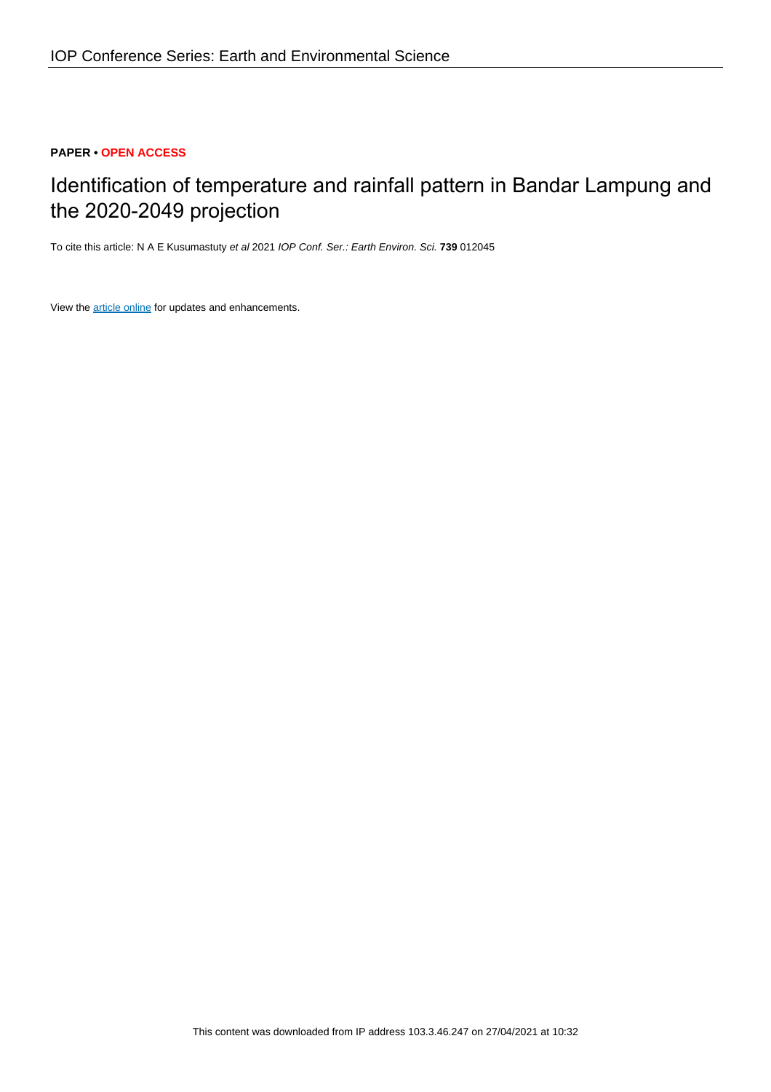# **PAPER • OPEN ACCESS**

# Identification of temperature and rainfall pattern in Bandar Lampung and the 2020-2049 projection

To cite this article: N A E Kusumastuty et al 2021 IOP Conf. Ser.: Earth Environ. Sci. **739** 012045

View the [article online](https://doi.org/10.1088/1755-1315/739/1/012045) for updates and enhancements.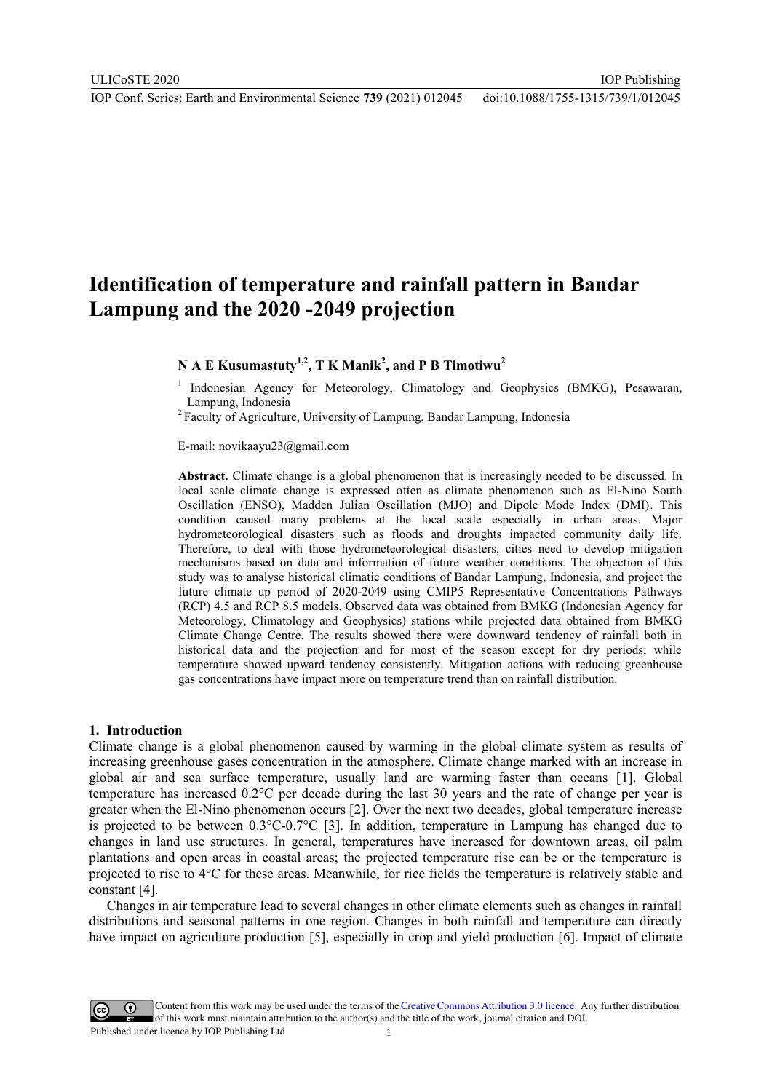# **Identification of temperature and rainfall pattern in Bandar Lampung and the 2020 -2049 projection**

# **N A E Kusumastuty1,2, T K Manik2 , and P B Timotiwu<sup>2</sup>**

<sup>1</sup> Indonesian Agency for Meteorology, Climatology and Geophysics (BMKG), Pesawaran, Lampung, Indonesia 2 Faculty of Agriculture, University of Lampung, Bandar Lampung, Indonesia

E-mail: novikaayu23@gmail.com

**Abstract.** Climate change is a global phenomenon that is increasingly needed to be discussed. In local scale climate change is expressed often as climate phenomenon such as El-Nino South Oscillation (ENSO), Madden Julian Oscillation (MJO) and Dipole Mode Index (DMI). This condition caused many problems at the local scale especially in urban areas. Major hydrometeorological disasters such as floods and droughts impacted community daily life. Therefore, to deal with those hydrometeorological disasters, cities need to develop mitigation mechanisms based on data and information of future weather conditions. The objection of this study was to analyse historical climatic conditions of Bandar Lampung, Indonesia, and project the future climate up period of 2020-2049 using CMIP5 Representative Concentrations Pathways (RCP) 4.5 and RCP 8.5 models. Observed data was obtained from BMKG (Indonesian Agency for Meteorology, Climatology and Geophysics) stations while projected data obtained from BMKG Climate Change Centre. The results showed there were downward tendency of rainfall both in historical data and the projection and for most of the season except for dry periods; while temperature showed upward tendency consistently. Mitigation actions with reducing greenhouse gas concentrations have impact more on temperature trend than on rainfall distribution.

#### **1. Introduction**

Climate change is a global phenomenon caused by warming in the global climate system as results of increasing greenhouse gases concentration in the atmosphere. Climate change marked with an increase in global air and sea surface temperature, usually land are warming faster than oceans [1]. Global temperature has increased 0.2°C per decade during the last 30 years and the rate of change per year is greater when the El-Nino phenomenon occurs [2]. Over the next two decades, global temperature increase is projected to be between 0.3°C-0.7°C [3]. In addition, temperature in Lampung has changed due to changes in land use structures. In general, temperatures have increased for downtown areas, oil palm plantations and open areas in coastal areas; the projected temperature rise can be or the temperature is projected to rise to 4°C for these areas. Meanwhile, for rice fields the temperature is relatively stable and constant [4].

Changes in air temperature lead to several changes in other climate elements such as changes in rainfall distributions and seasonal patterns in one region. Changes in both rainfall and temperature can directly have impact on agriculture production [5], especially in crop and yield production [6]. Impact of climate

Content from this work may be used under the terms of the Creative Commons Attribution 3.0 licence. Any further distribution of this work must maintain attribution to the author(s) and the title of the work, journal citation and DOI. Published under licence by IOP Publishing Ltd 1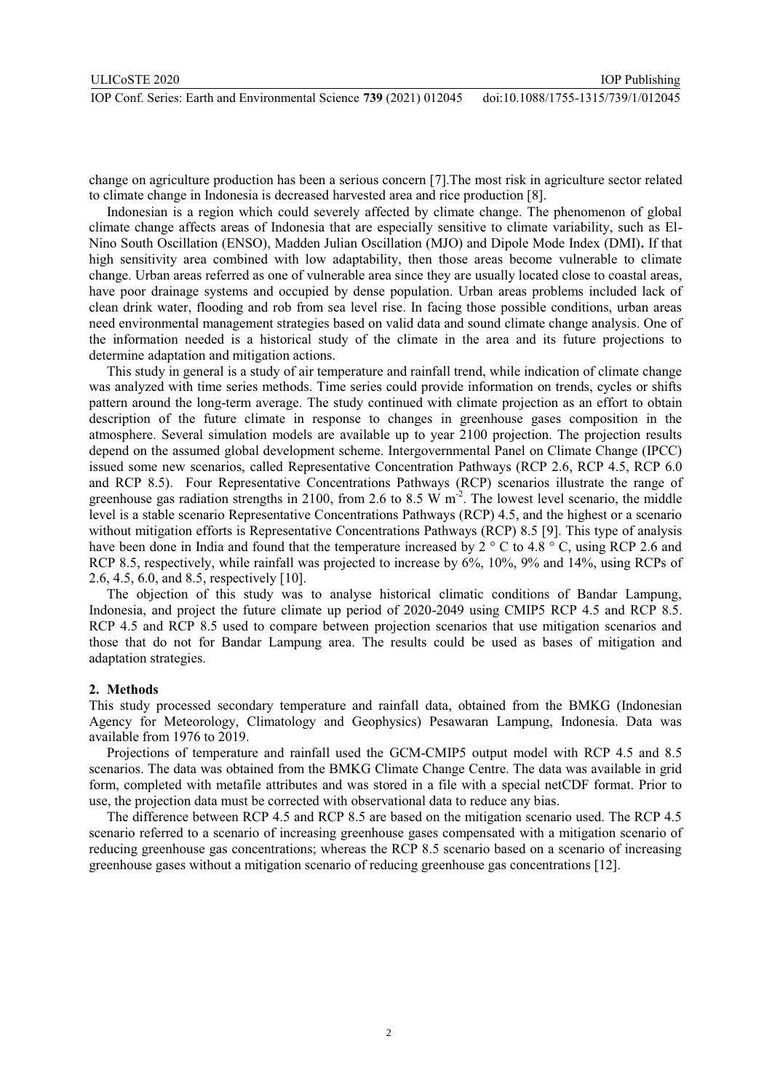change on agriculture production has been a serious concern [7].The most risk in agriculture sector related to climate change in Indonesia is decreased harvested area and rice production [8].

Indonesian is a region which could severely affected by climate change. The phenomenon of global climate change affects areas of Indonesia that are especially sensitive to climate variability, such as El-Nino South Oscillation (ENSO), Madden Julian Oscillation (MJO) and Dipole Mode Index (DMI)**.** If that high sensitivity area combined with low adaptability, then those areas become vulnerable to climate change. Urban areas referred as one of vulnerable area since they are usually located close to coastal areas, have poor drainage systems and occupied by dense population. Urban areas problems included lack of clean drink water, flooding and rob from sea level rise. In facing those possible conditions, urban areas need environmental management strategies based on valid data and sound climate change analysis. One of the information needed is a historical study of the climate in the area and its future projections to determine adaptation and mitigation actions.

This study in general is a study of air temperature and rainfall trend, while indication of climate change was analyzed with time series methods. Time series could provide information on trends, cycles or shifts pattern around the long-term average. The study continued with climate projection as an effort to obtain description of the future climate in response to changes in greenhouse gases composition in the atmosphere. Several simulation models are available up to year 2100 projection. The projection results depend on the assumed global development scheme. Intergovernmental Panel on Climate Change (IPCC) issued some new scenarios, called Representative Concentration Pathways (RCP 2.6, RCP 4.5, RCP 6.0 and RCP 8.5). Four Representative Concentrations Pathways (RCP) scenarios illustrate the range of greenhouse gas radiation strengths in 2100, from 2.6 to 8.5 W m<sup>-2</sup>. The lowest level scenario, the middle level is a stable scenario Representative Concentrations Pathways (RCP) 4.5, and the highest or a scenario without mitigation efforts is Representative Concentrations Pathways (RCP) 8.5 [9]. This type of analysis have been done in India and found that the temperature increased by 2 ° C to 4.8 ° C, using RCP 2.6 and RCP 8.5, respectively, while rainfall was projected to increase by 6%, 10%, 9% and 14%, using RCPs of 2.6, 4.5, 6.0, and 8.5, respectively [10].

The objection of this study was to analyse historical climatic conditions of Bandar Lampung, Indonesia, and project the future climate up period of 2020-2049 using CMIP5 RCP 4.5 and RCP 8.5. RCP 4.5 and RCP 8.5 used to compare between projection scenarios that use mitigation scenarios and those that do not for Bandar Lampung area. The results could be used as bases of mitigation and adaptation strategies.

## **2. Methods**

This study processed secondary temperature and rainfall data, obtained from the BMKG (Indonesian Agency for Meteorology, Climatology and Geophysics) Pesawaran Lampung, Indonesia. Data was available from 1976 to 2019.

Projections of temperature and rainfall used the GCM-CMIP5 output model with RCP 4.5 and 8.5 scenarios. The data was obtained from the BMKG Climate Change Centre. The data was available in grid form, completed with metafile attributes and was stored in a file with a special netCDF format. Prior to use, the projection data must be corrected with observational data to reduce any bias.

The difference between RCP 4.5 and RCP 8.5 are based on the mitigation scenario used. The RCP 4.5 scenario referred to a scenario of increasing greenhouse gases compensated with a mitigation scenario of reducing greenhouse gas concentrations; whereas the RCP 8.5 scenario based on a scenario of increasing greenhouse gases without a mitigation scenario of reducing greenhouse gas concentrations [12].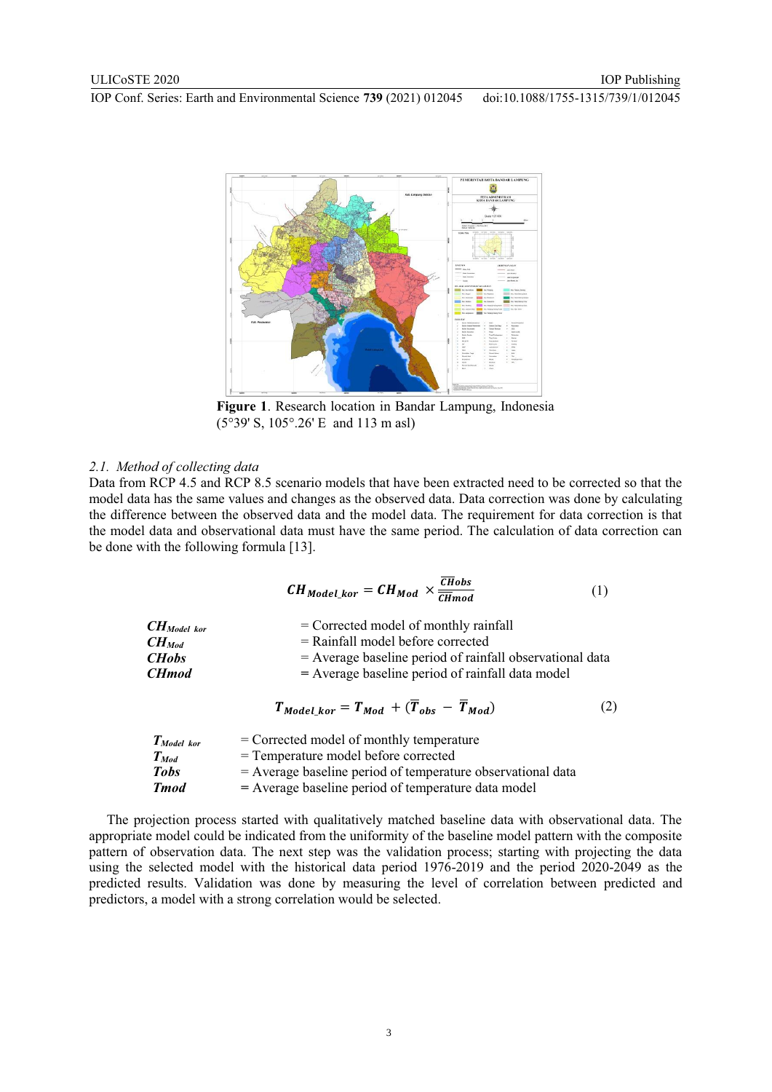

**Figure 1**. Research location in Bandar Lampung, Indonesia (5°39' S, 105°.26' E and 113 m asl)

#### *2.1. Method of collecting data*

Data from RCP 4.5 and RCP 8.5 scenario models that have been extracted need to be corrected so that the model data has the same values and changes as the observed data. Data correction was done by calculating the difference between the observed data and the model data. The requirement for data correction is that the model data and observational data must have the same period. The calculation of data correction can be done with the following formula [13].

$$
CH_{Model\_kor} = CH_{Mod} \times \frac{\overline{CH}obs}{\overline{CH}mod}
$$
 (1)

| $CH_{Model\; kor}$ | $=$ Corrected model of monthly rainfall                    |
|--------------------|------------------------------------------------------------|
| $CH_{Mod}$         | $=$ Rainfall model before corrected                        |
| <b>CHobs</b>       | $=$ Average baseline period of rainfall observational data |
| <b>CH</b> mod      | $=$ Average baseline period of rainfall data model         |
|                    |                                                            |

$$
T_{Model\_kor} = T_{Mod} + (\overline{T}_{obs} - \overline{T}_{Mod})
$$
 (2)

| $T_{Model\; kor}$ | $=$ Corrected model of monthly temperature                    |
|-------------------|---------------------------------------------------------------|
| $T_{Mod}$         | = Temperature model before corrected                          |
| <b>Tobs</b>       | $=$ Average baseline period of temperature observational data |
| <b>T</b> mod      | = Average baseline period of temperature data model           |

The projection process started with qualitatively matched baseline data with observational data. The appropriate model could be indicated from the uniformity of the baseline model pattern with the composite pattern of observation data. The next step was the validation process; starting with projecting the data using the selected model with the historical data period 1976-2019 and the period 2020-2049 as the predicted results. Validation was done by measuring the level of correlation between predicted and predictors, a model with a strong correlation would be selected.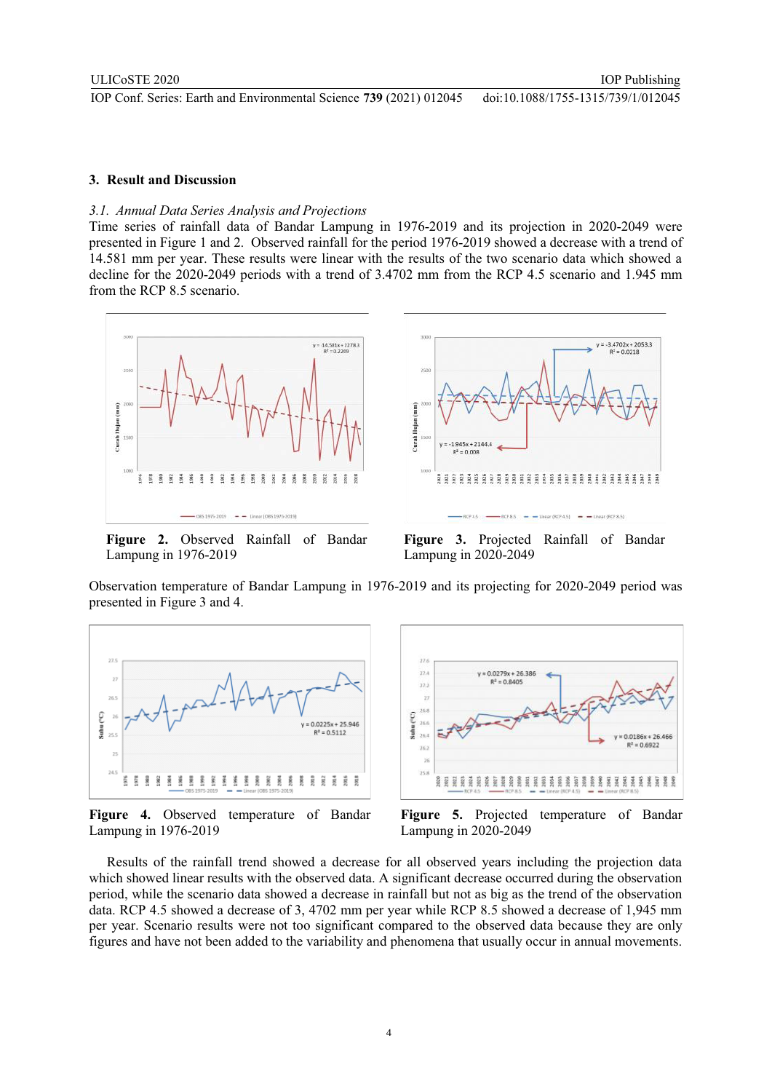## **3. Result and Discussion**

#### *3.1. Annual Data Series Analysis and Projections*

Time series of rainfall data of Bandar Lampung in 1976-2019 and its projection in 2020-2049 were presented in Figure 1 and 2.Observed rainfall for the period 1976-2019 showed a decrease with a trend of 14.581 mm per year. These results were linear with the results of the two scenario data which showed a decline for the 2020-2049 periods with a trend of 3.4702 mm from the RCP 4.5 scenario and 1.945 mm from the RCP 8.5 scenario.



**Figure 2.** Observed Rainfall of Bandar Lampung in 1976-2019



IOP Publishing

**Figure 3.** Projected Rainfall of Bandar Lampung in 2020-2049

Observation temperature of Bandar Lampung in 1976-2019 and its projecting for 2020-2049 period was presented in Figure 3 and 4.



**Figure 4.** Observed temperature of Bandar Lampung in 1976-2019



**Figure 5.** Projected temperature of Bandar Lampung in 2020-2049

Results of the rainfall trend showed a decrease for all observed years including the projection data which showed linear results with the observed data. A significant decrease occurred during the observation period, while the scenario data showed a decrease in rainfall but not as big as the trend of the observation data. RCP 4.5 showed a decrease of 3, 4702 mm per year while RCP 8.5 showed a decrease of 1,945 mm per year. Scenario results were not too significant compared to the observed data because they are only figures and have not been added to the variability and phenomena that usually occur in annual movements.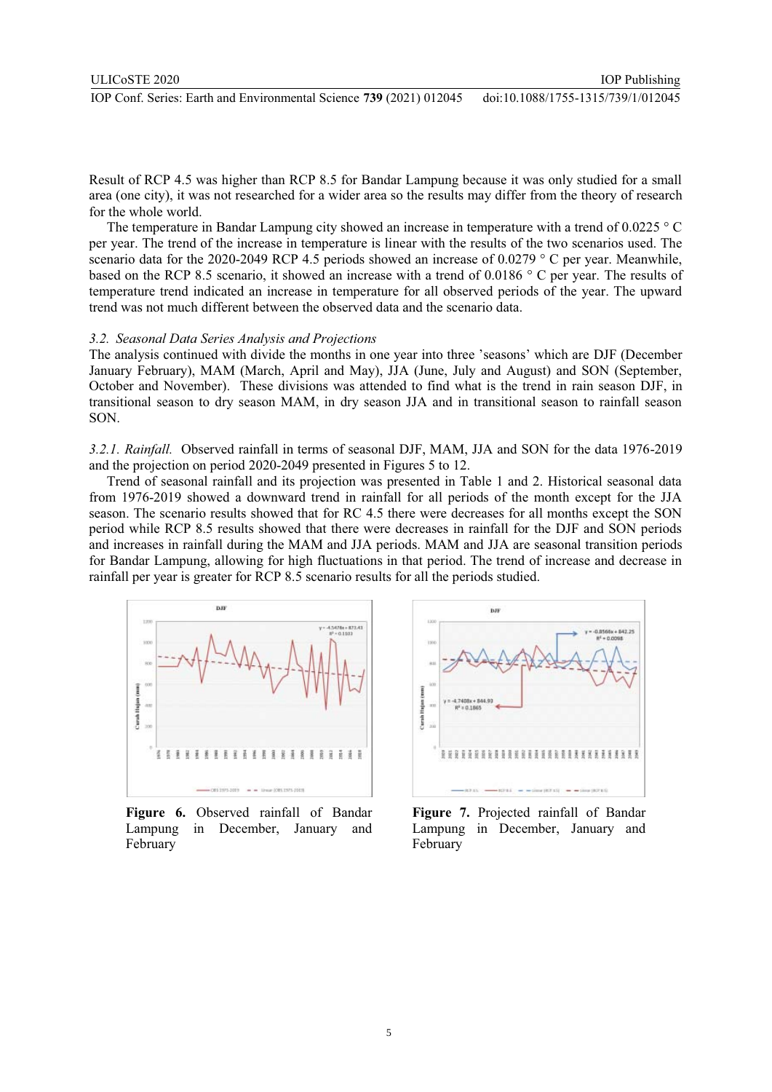Result of RCP 4.5 was higher than RCP 8.5 for Bandar Lampung because it was only studied for a small area (one city), it was not researched for a wider area so the results may differ from the theory of research for the whole world.

The temperature in Bandar Lampung city showed an increase in temperature with a trend of 0.0225 ° C per year. The trend of the increase in temperature is linear with the results of the two scenarios used. The scenario data for the 2020-2049 RCP 4.5 periods showed an increase of 0.0279 ° C per year. Meanwhile, based on the RCP 8.5 scenario, it showed an increase with a trend of 0.0186 ° C per year. The results of temperature trend indicated an increase in temperature for all observed periods of the year. The upward trend was not much different between the observed data and the scenario data.

#### *3.2. Seasonal Data Series Analysis and Projections*

The analysis continued with divide the months in one year into three 'seasons' which are DJF (December January February), MAM (March, April and May), JJA (June, July and August) and SON (September, October and November). These divisions was attended to find what is the trend in rain season DJF, in transitional season to dry season MAM, in dry season JJA and in transitional season to rainfall season SON.

*3.2.1. Rainfall.* Observed rainfall in terms of seasonal DJF, MAM, JJA and SON for the data 1976-2019 and the projection on period 2020-2049 presented in Figures 5 to 12.

Trend of seasonal rainfall and its projection was presented in Table 1 and 2. Historical seasonal data from 1976-2019 showed a downward trend in rainfall for all periods of the month except for the JJA season. The scenario results showed that for RC 4.5 there were decreases for all months except the SON period while RCP 8.5 results showed that there were decreases in rainfall for the DJF and SON periods and increases in rainfall during the MAM and JJA periods. MAM and JJA are seasonal transition periods for Bandar Lampung, allowing for high fluctuations in that period. The trend of increase and decrease in rainfall per year is greater for RCP 8.5 scenario results for all the periods studied.



**Figure 6.** Observed rainfall of Bandar Lampung in December, January and February



IOP Publishing

**Figure 7.** Projected rainfall of Bandar Lampung in December, January and February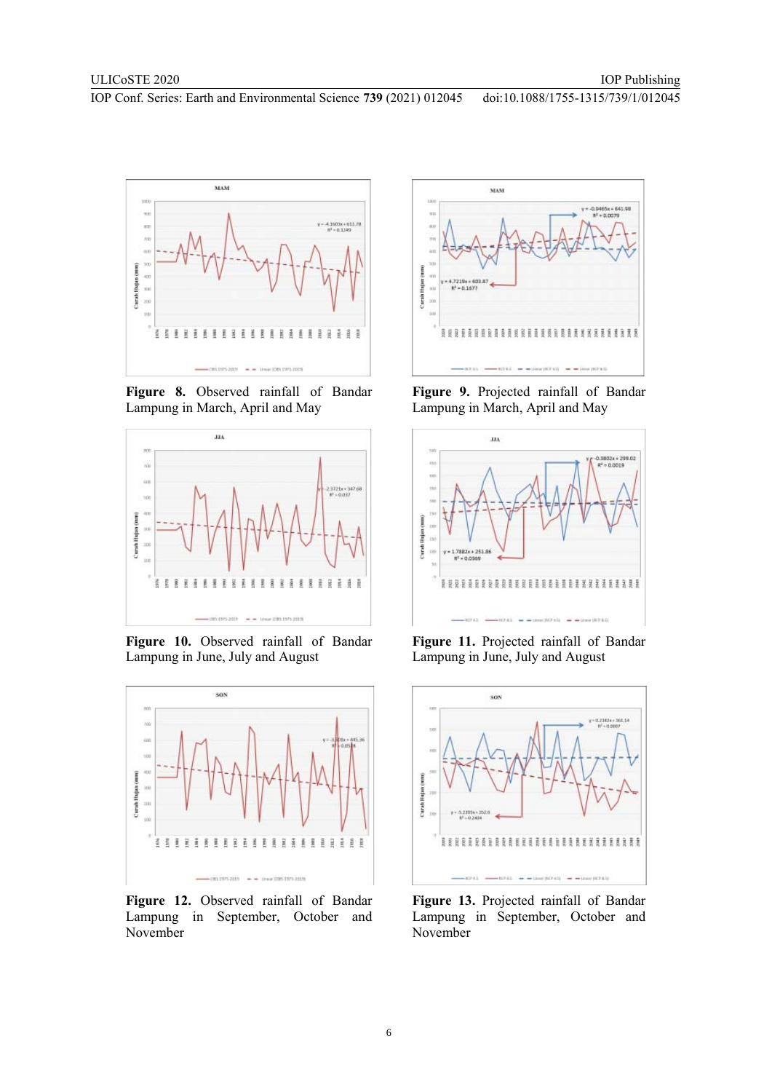

**Figure 8.** Observed rainfall of Bandar Lampung in March, April and May



**Figure 10.** Observed rainfall of Bandar Lampung in June, July and August



**Figure 12.** Observed rainfall of Bandar Lampung in September, October and November



**Figure 9.** Projected rainfall of Bandar Lampung in March, April and May



**Figure 11.** Projected rainfall of Bandar Lampung in June, July and August



**Figure 13.** Projected rainfall of Bandar Lampung in September, October and November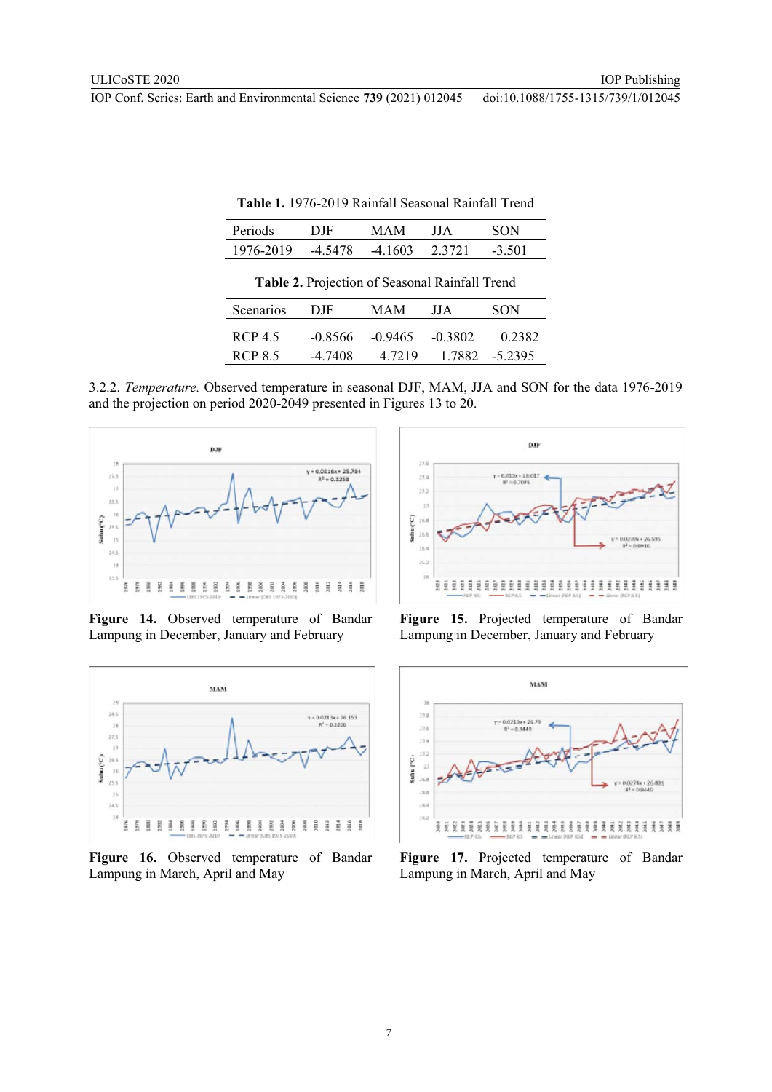| Periods                                        | DJF       | <b>MAM</b> | ЛA        | SON       |  |  |  |
|------------------------------------------------|-----------|------------|-----------|-----------|--|--|--|
| 1976-2019                                      | $-4.5478$ | $-4.1603$  | 2.3721    | $-3.501$  |  |  |  |
| Table 2. Projection of Seasonal Rainfall Trend |           |            |           |           |  |  |  |
| Scenarios                                      | DJF       | <b>MAM</b> | ЛA        | SON       |  |  |  |
| <b>RCP 4.5</b>                                 | $-0.8566$ | $-0.9465$  | $-0.3802$ | 0.2382    |  |  |  |
| <b>RCP 8.5</b>                                 | $-4.7408$ | 4.7219     | 1.7882    | $-5.2395$ |  |  |  |

**Table 1.** 1976-2019 Rainfall Seasonal Rainfall Trend

3.2.2. *Temperature.* Observed temperature in seasonal DJF, MAM, JJA and SON for the data 1976-2019 and the projection on period 2020-2049 presented in Figures 13 to 20.



**Figure 14.** Observed temperature of Bandar Lampung in December, January and February



**Figure 16.** Observed temperature of Bandar Lampung in March, April and May



**Figure 15.** Projected temperature of Bandar Lampung in December, January and February



**Figure 17.** Projected temperature of Bandar Lampung in March, April and May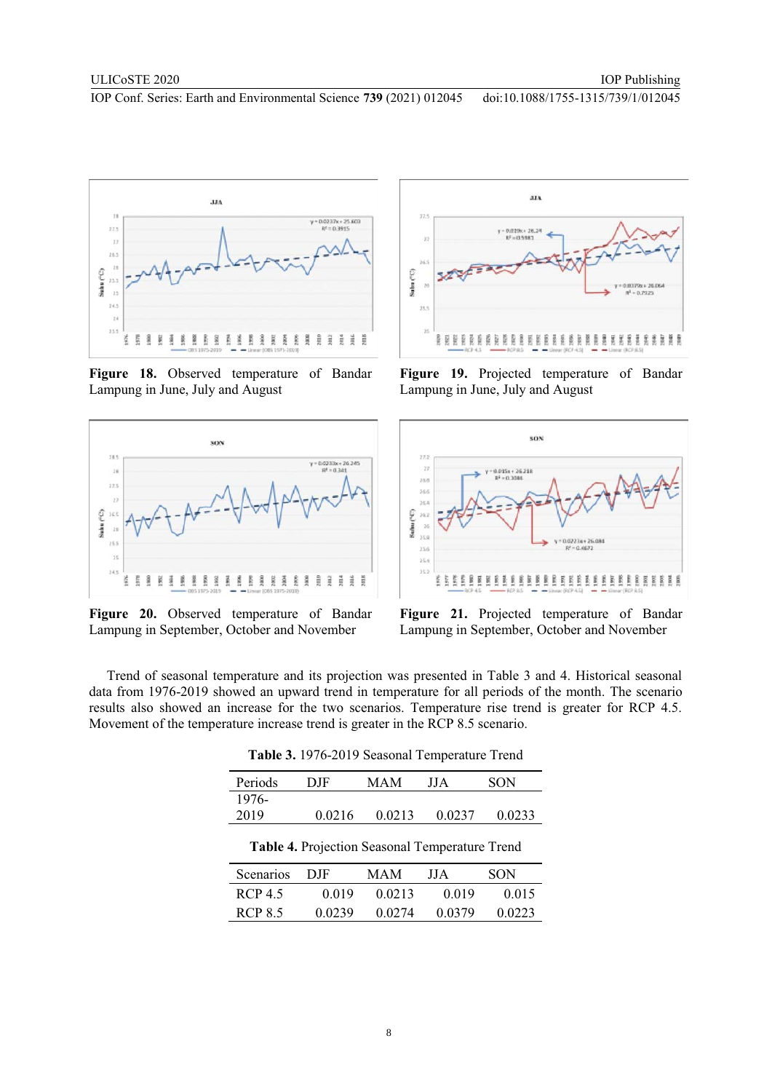

**Figure 18.** Observed temperature of Bandar Lampung in June, July and August



**Figure 20.** Observed temperature of Bandar Lampung in September, October and November



**Figure 19.** Projected temperature of Bandar Lampung in June, July and August



**Figure 21.** Projected temperature of Bandar Lampung in September, October and November

Trend of seasonal temperature and its projection was presented in Table 3 and 4. Historical seasonal data from 1976-2019 showed an upward trend in temperature for all periods of the month. The scenario results also showed an increase for the two scenarios. Temperature rise trend is greater for RCP 4.5. Movement of the temperature increase trend is greater in the RCP 8.5 scenario.

| Periods                                               | DJF    | MAM    | ЛA     | SON    |  |  |  |
|-------------------------------------------------------|--------|--------|--------|--------|--|--|--|
| 1976-                                                 |        |        |        |        |  |  |  |
| 2019                                                  | 0.0216 | 0.0213 | 0.0237 | 0.0233 |  |  |  |
| <b>Table 4. Projection Seasonal Temperature Trend</b> |        |        |        |        |  |  |  |
| Scenarios                                             | DJF    | MAM    | JJ A   | SON    |  |  |  |
| $RCP$ 4.5                                             | 0.019  | 0.0213 | 0.019  | 0.015  |  |  |  |

RCP 8.5 0.0239 0.0274 0.0379 0.0223

**Table 3.** 1976-2019 Seasonal Temperature Trend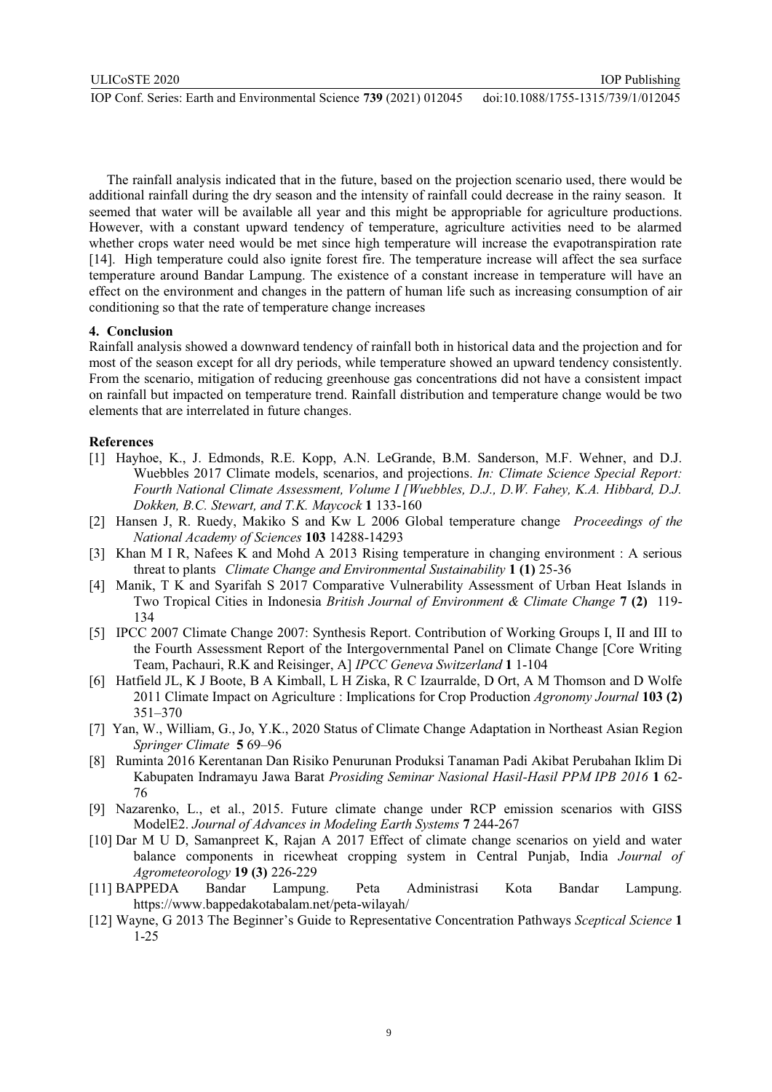The rainfall analysis indicated that in the future, based on the projection scenario used, there would be additional rainfall during the dry season and the intensity of rainfall could decrease in the rainy season. It seemed that water will be available all year and this might be appropriable for agriculture productions. However, with a constant upward tendency of temperature, agriculture activities need to be alarmed whether crops water need would be met since high temperature will increase the evapotranspiration rate [14]. High temperature could also ignite forest fire. The temperature increase will affect the sea surface temperature around Bandar Lampung. The existence of a constant increase in temperature will have an effect on the environment and changes in the pattern of human life such as increasing consumption of air conditioning so that the rate of temperature change increases

### **4. Conclusion**

Rainfall analysis showed a downward tendency of rainfall both in historical data and the projection and for most of the season except for all dry periods, while temperature showed an upward tendency consistently. From the scenario, mitigation of reducing greenhouse gas concentrations did not have a consistent impact on rainfall but impacted on temperature trend. Rainfall distribution and temperature change would be two elements that are interrelated in future changes.

## **References**

- [1] Hayhoe, K., J. Edmonds, R.E. Kopp, A.N. LeGrande, B.M. Sanderson, M.F. Wehner, and D.J. Wuebbles 2017 Climate models, scenarios, and projections. *In: Climate Science Special Report: Fourth National Climate Assessment, Volume I [Wuebbles, D.J., D.W. Fahey, K.A. Hibbard, D.J. Dokken, B.C. Stewart, and T.K. Maycock* **1** 133-160
- [2] Hansen J, R. Ruedy, Makiko S and Kw L 2006 Global temperature change *Proceedings of the National Academy of Sciences* **103** 14288-14293
- [3] Khan M I R, Nafees K and Mohd A 2013 Rising temperature in changing environment : A serious threat to plants *Climate Change and Environmental Sustainability* **1 (1)** 25-36
- [4] Manik, T K and Syarifah S 2017 Comparative Vulnerability Assessment of Urban Heat Islands in Two Tropical Cities in Indonesia *British Journal of Environment & Climate Change* **7 (2)** 119- 134
- [5] IPCC 2007 Climate Change 2007: Synthesis Report. Contribution of Working Groups I, II and III to the Fourth Assessment Report of the Intergovernmental Panel on Climate Change [Core Writing Team, Pachauri, R.K and Reisinger, A] *IPCC Geneva Switzerland* **1** 1-104
- [6] Hatfield JL, K J Boote, B A Kimball, L H Ziska, R C Izaurralde, D Ort, A M Thomson and D Wolfe 2011 Climate Impact on Agriculture : Implications for Crop Production *Agronomy Journal* **103 (2)** 351–370
- [7] Yan, W., William, G., Jo, Y.K., 2020 Status of Climate Change Adaptation in Northeast Asian Region *Springer Climate* **5** 69–96
- [8] Ruminta 2016 Kerentanan Dan Risiko Penurunan Produksi Tanaman Padi Akibat Perubahan Iklim Di Kabupaten Indramayu Jawa Barat *Prosiding Seminar Nasional Hasil-Hasil PPM IPB 2016* **1** 62- 76
- [9] Nazarenko, L., et al., 2015. Future climate change under RCP emission scenarios with GISS ModelE2. *Journal of Advances in Modeling Earth Systems* **7** 244-267
- [10] Dar M U D, Samanpreet K, Rajan A 2017 Effect of climate change scenarios on yield and water balance components in ricewheat cropping system in Central Punjab, India *Journal of Agrometeorology* **19 (3)** 226-229
- [11] BAPPEDA Bandar Lampung. Peta Administrasi Kota Bandar Lampung. https://www.bappedakotabalam.net/peta-wilayah/
- [12] Wayne, G 2013 The Beginner's Guide to Representative Concentration Pathways *Sceptical Science* **1** 1-25